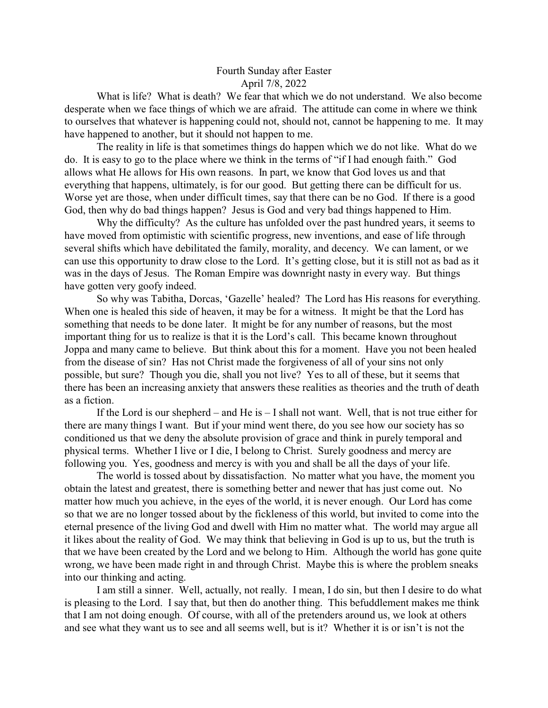## Fourth Sunday after Easter April 7/8, 2022

What is life? What is death? We fear that which we do not understand. We also become desperate when we face things of which we are afraid. The attitude can come in where we think to ourselves that whatever is happening could not, should not, cannot be happening to me. It may have happened to another, but it should not happen to me.

The reality in life is that sometimes things do happen which we do not like. What do we do. It is easy to go to the place where we think in the terms of "if I had enough faith." God allows what He allows for His own reasons. In part, we know that God loves us and that everything that happens, ultimately, is for our good. But getting there can be difficult for us. Worse yet are those, when under difficult times, say that there can be no God. If there is a good God, then why do bad things happen? Jesus is God and very bad things happened to Him.

Why the difficulty? As the culture has unfolded over the past hundred years, it seems to have moved from optimistic with scientific progress, new inventions, and ease of life through several shifts which have debilitated the family, morality, and decency. We can lament, or we can use this opportunity to draw close to the Lord. It's getting close, but it is still not as bad as it was in the days of Jesus. The Roman Empire was downright nasty in every way. But things have gotten very goofy indeed.

So why was Tabitha, Dorcas, 'Gazelle' healed? The Lord has His reasons for everything. When one is healed this side of heaven, it may be for a witness. It might be that the Lord has something that needs to be done later. It might be for any number of reasons, but the most important thing for us to realize is that it is the Lord's call. This became known throughout Joppa and many came to believe. But think about this for a moment. Have you not been healed from the disease of sin? Has not Christ made the forgiveness of all of your sins not only possible, but sure? Though you die, shall you not live? Yes to all of these, but it seems that there has been an increasing anxiety that answers these realities as theories and the truth of death as a fiction.

If the Lord is our shepherd – and He is – I shall not want. Well, that is not true either for there are many things I want. But if your mind went there, do you see how our society has so conditioned us that we deny the absolute provision of grace and think in purely temporal and physical terms. Whether I live or I die, I belong to Christ. Surely goodness and mercy are following you. Yes, goodness and mercy is with you and shall be all the days of your life.

The world is tossed about by dissatisfaction. No matter what you have, the moment you obtain the latest and greatest, there is something better and newer that has just come out. No matter how much you achieve, in the eyes of the world, it is never enough. Our Lord has come so that we are no longer tossed about by the fickleness of this world, but invited to come into the eternal presence of the living God and dwell with Him no matter what. The world may argue all it likes about the reality of God. We may think that believing in God is up to us, but the truth is that we have been created by the Lord and we belong to Him. Although the world has gone quite wrong, we have been made right in and through Christ. Maybe this is where the problem sneaks into our thinking and acting.

I am still a sinner. Well, actually, not really. I mean, I do sin, but then I desire to do what is pleasing to the Lord. I say that, but then do another thing. This befuddlement makes me think that I am not doing enough. Of course, with all of the pretenders around us, we look at others and see what they want us to see and all seems well, but is it? Whether it is or isn't is not the